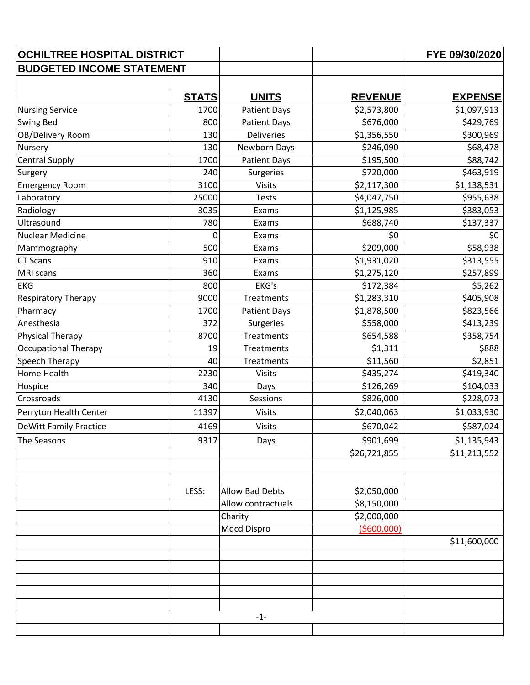| <b>OCHILTREE HOSPITAL DISTRICT</b> |              |                        |                | FYE 09/30/2020 |
|------------------------------------|--------------|------------------------|----------------|----------------|
| <b>BUDGETED INCOME STATEMENT</b>   |              |                        |                |                |
|                                    |              |                        |                |                |
|                                    | <b>STATS</b> | <b>UNITS</b>           | <b>REVENUE</b> | <u>EXPENSE</u> |
| <b>Nursing Service</b>             | 1700         | <b>Patient Days</b>    | \$2,573,800    | \$1,097,913    |
| <b>Swing Bed</b>                   | 800          | <b>Patient Days</b>    | \$676,000      | \$429,769      |
| OB/Delivery Room                   | 130          | <b>Deliveries</b>      | \$1,356,550    | \$300,969      |
| Nursery                            | 130          | Newborn Days           | \$246,090      | \$68,478       |
| <b>Central Supply</b>              | 1700         | <b>Patient Days</b>    | \$195,500      | \$88,742       |
| Surgery                            | 240          | Surgeries              | \$720,000      | \$463,919      |
| <b>Emergency Room</b>              | 3100         | <b>Visits</b>          | \$2,117,300    | \$1,138,531    |
| Laboratory                         | 25000        | <b>Tests</b>           | \$4,047,750    | \$955,638      |
| Radiology                          | 3035         | Exams                  | \$1,125,985    | \$383,053      |
| Ultrasound                         | 780          | Exams                  | \$688,740      | \$137,337      |
| <b>Nuclear Medicine</b>            | 0            | Exams                  | \$0            | \$0            |
| Mammography                        | 500          | Exams                  | \$209,000      | \$58,938       |
| <b>CT Scans</b>                    | 910          | Exams                  | \$1,931,020    | \$313,555      |
| <b>MRI</b> scans                   | 360          | Exams                  | \$1,275,120    | \$257,899      |
| <b>EKG</b>                         | 800          | EKG's                  | \$172,384      | \$5,262        |
| <b>Respiratory Therapy</b>         | 9000         | Treatments             | \$1,283,310    | \$405,908      |
| Pharmacy                           | 1700         | <b>Patient Days</b>    | \$1,878,500    | \$823,566      |
| Anesthesia                         | 372          | Surgeries              | \$558,000      | \$413,239      |
| Physical Therapy                   | 8700         | Treatments             | \$654,588      | \$358,754      |
| <b>Occupational Therapy</b>        | 19           | Treatments             | \$1,311        | \$888          |
| <b>Speech Therapy</b>              | 40           | Treatments             | \$11,560       | \$2,851        |
| Home Health                        | 2230         | <b>Visits</b>          | \$435,274      | \$419,340      |
| Hospice                            | 340          | Days                   | \$126,269      | \$104,033      |
| Crossroads                         | 4130         | Sessions               | \$826,000      | \$228,073      |
| Perryton Health Center             | 11397        | <b>Visits</b>          | \$2,040,063    | \$1,033,930    |
| <b>DeWitt Family Practice</b>      | 4169         | <b>Visits</b>          | \$670,042      | \$587,024      |
| The Seasons                        | 9317         | Days                   | \$901,699      | \$1,135,943    |
|                                    |              |                        | \$26,721,855   | \$11,213,552   |
|                                    |              |                        |                |                |
|                                    |              |                        |                |                |
|                                    | LESS:        | <b>Allow Bad Debts</b> | \$2,050,000    |                |
|                                    |              | Allow contractuals     | \$8,150,000    |                |
|                                    |              | Charity                | \$2,000,000    |                |
|                                    |              | <b>Mdcd Dispro</b>     | ( \$600,000]   |                |
|                                    |              |                        |                | \$11,600,000   |
|                                    |              |                        |                |                |
|                                    |              |                        |                |                |
|                                    |              |                        |                |                |
|                                    |              |                        |                |                |
|                                    |              |                        |                |                |
|                                    |              | $-1-$                  |                |                |
|                                    |              |                        |                |                |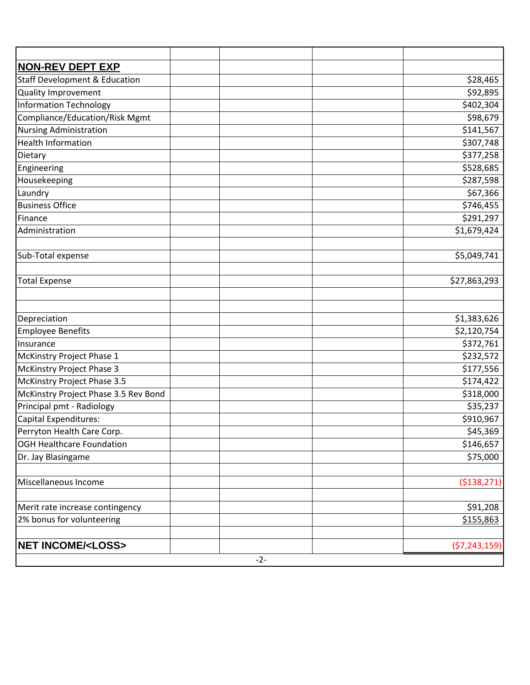| <u>NON-REV DEPT EXP</u>                  |       |                |
|------------------------------------------|-------|----------------|
| <b>Staff Development &amp; Education</b> |       | \$28,465       |
| Quality Improvement                      |       | \$92,895       |
| <b>Information Technology</b>            |       | \$402,304      |
| Compliance/Education/Risk Mgmt           |       | \$98,679       |
| <b>Nursing Administration</b>            |       | \$141,567      |
| <b>Health Information</b>                |       | \$307,748      |
| Dietary                                  |       | \$377,258      |
| Engineering                              |       | \$528,685      |
| Housekeeping                             |       | \$287,598      |
| Laundry                                  |       | \$67,366       |
| <b>Business Office</b>                   |       | \$746,455      |
| Finance                                  |       | \$291,297      |
| Administration                           |       | \$1,679,424    |
|                                          |       |                |
| Sub-Total expense                        |       | \$5,049,741    |
|                                          |       |                |
| <b>Total Expense</b>                     |       | \$27,863,293   |
|                                          |       |                |
|                                          |       |                |
| Depreciation                             |       | \$1,383,626    |
| Employee Benefits                        |       | \$2,120,754    |
| Insurance                                |       | \$372,761      |
| McKinstry Project Phase 1                |       | \$232,572      |
| McKinstry Project Phase 3                |       | \$177,556      |
| McKinstry Project Phase 3.5              |       | \$174,422      |
| McKinstry Project Phase 3.5 Rev Bond     |       | \$318,000      |
| Principal pmt - Radiology                |       | \$35,237       |
| Capital Expenditures:                    |       | \$910,967      |
| Perryton Health Care Corp.               |       | \$45,369       |
| <b>OGH Healthcare Foundation</b>         |       | \$146,657      |
| Dr. Jay Blasingame                       |       | \$75,000       |
|                                          |       |                |
| Miscellaneous Income                     |       | ( \$138, 271)  |
|                                          |       |                |
| Merit rate increase contingency          |       | \$91,208       |
| 2% bonus for volunteering                |       | \$155,863      |
|                                          |       |                |
| <b>NET INCOME/<loss></loss></b>          |       | (57, 243, 159) |
|                                          | $-2-$ |                |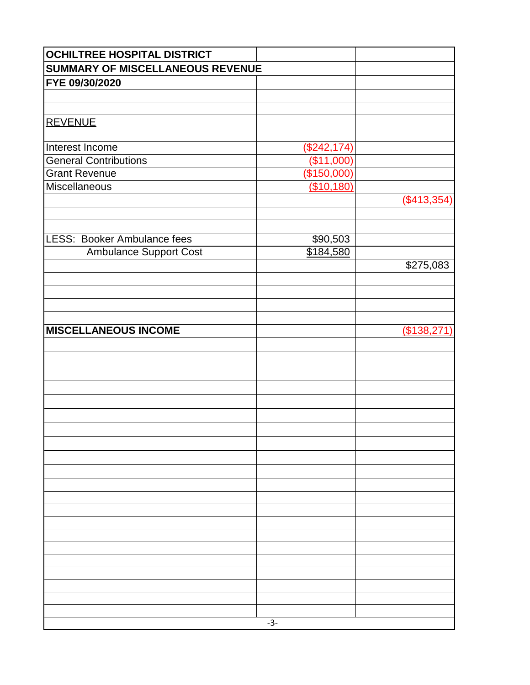| OCHILTREE HOSPITAL DISTRICT<br>SUMMARY OF MISCELLANEOUS REVENUE |             |             |
|-----------------------------------------------------------------|-------------|-------------|
| FYE 09/30/2020                                                  |             |             |
|                                                                 |             |             |
|                                                                 |             |             |
| <b>REVENUE</b>                                                  |             |             |
|                                                                 |             |             |
| Interest Income                                                 | (\$242,174) |             |
| <b>General Contributions</b>                                    | ( \$11,000) |             |
| <b>Grant Revenue</b>                                            | (\$150,000) |             |
| Miscellaneous                                                   | (\$10,180)  |             |
|                                                                 |             | (\$413,354) |
|                                                                 |             |             |
| <b>LESS: Booker Ambulance fees</b>                              | \$90,503    |             |
| <b>Ambulance Support Cost</b>                                   | \$184,580   |             |
|                                                                 |             | \$275,083   |
|                                                                 |             |             |
|                                                                 |             |             |
|                                                                 |             |             |
| <b>MISCELLANEOUS INCOME</b>                                     |             | (\$138,271) |
|                                                                 |             |             |
|                                                                 |             |             |
|                                                                 |             |             |
|                                                                 |             |             |
|                                                                 |             |             |
|                                                                 |             |             |
|                                                                 |             |             |
|                                                                 |             |             |
|                                                                 |             |             |
|                                                                 |             |             |
|                                                                 |             |             |
|                                                                 |             |             |
|                                                                 |             |             |
|                                                                 |             |             |
|                                                                 |             |             |
|                                                                 | $-3-$       |             |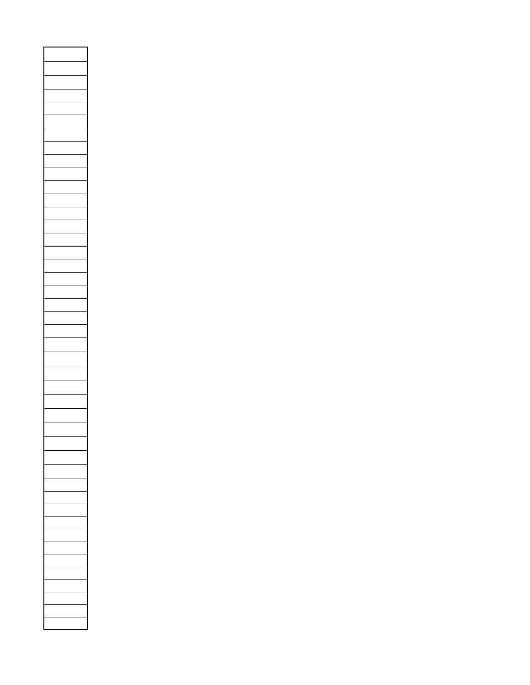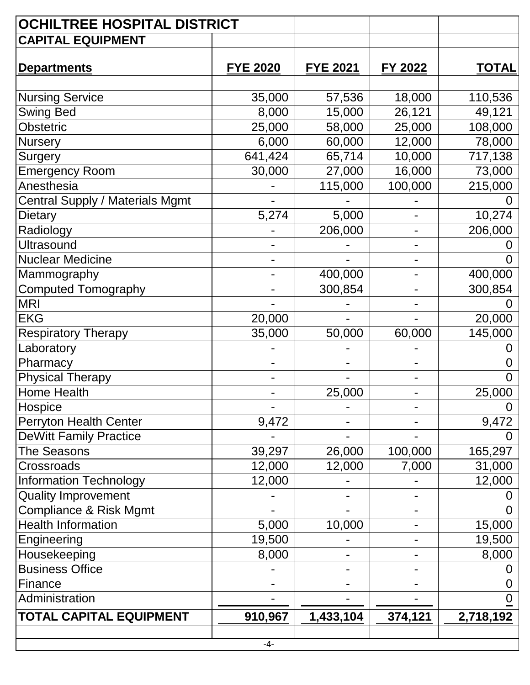| <b>OCHILTREE HOSPITAL DISTRICT</b> |                 |                 |                              |                   |
|------------------------------------|-----------------|-----------------|------------------------------|-------------------|
| <b>CAPITAL EQUIPMENT</b>           |                 |                 |                              |                   |
|                                    |                 |                 |                              |                   |
| <b>Departments</b>                 | <b>FYE 2020</b> | <b>FYE 2021</b> | FY 2022                      | <b>TOTAL</b>      |
|                                    |                 |                 |                              |                   |
| <b>Nursing Service</b>             | 35,000          | 57,536          | 18,000                       | 110,536           |
| <b>Swing Bed</b>                   | 8,000           | 15,000          | 26,121                       | 49,121            |
| <b>Obstetric</b>                   | 25,000          | 58,000          | 25,000                       | 108,000           |
| <b>Nursery</b>                     | 6,000           | 60,000          | 12,000                       | 78,000            |
| <b>Surgery</b>                     | 641,424         | 65,714          | 10,000                       | 717,138           |
| <b>Emergency Room</b>              | 30,000          | 27,000          | 16,000                       | 73,000            |
| Anesthesia                         |                 | 115,000         | 100,000                      | 215,000           |
| Central Supply / Materials Mgmt    |                 |                 |                              |                   |
| <b>Dietary</b>                     | 5,274           | 5,000           |                              | 10,274            |
| Radiology                          |                 | 206,000         |                              | 206,000           |
| <b>Ultrasound</b>                  |                 |                 |                              |                   |
| Nuclear Medicine                   |                 |                 |                              |                   |
| Mammography                        |                 | 400,000         |                              | 400,000           |
| <b>Computed Tomography</b>         |                 | 300,854         |                              | 300,854           |
| <b>MRI</b>                         |                 |                 |                              |                   |
| <b>EKG</b>                         | 20,000          |                 |                              | 20,000            |
| <b>Respiratory Therapy</b>         | 35,000          | 50,000          | 60,000                       | 145,000           |
| Laboratory                         |                 |                 |                              |                   |
| Pharmacy                           |                 |                 |                              | $\mathbf{\Omega}$ |
| <b>Physical Therapy</b>            |                 |                 |                              | 0                 |
| <b>Home Health</b>                 |                 | 25,000          |                              | 25,000            |
| Hospice                            |                 |                 |                              | $\theta$          |
| Perryton Health Center             | 9,472           |                 |                              | 9,472             |
| <b>DeWitt Family Practice</b>      |                 |                 |                              |                   |
| <b>The Seasons</b>                 | 39,297          | 26,000          | 100,000                      | 165,297           |
| Crossroads                         | 12,000          | 12,000          | 7,000                        | 31,000            |
| <b>Information Technology</b>      | 12,000          |                 |                              | 12,000            |
| <b>Quality Improvement</b>         |                 |                 |                              |                   |
| Compliance & Risk Mgmt             |                 |                 |                              | O                 |
| <b>Health Information</b>          | 5,000           | 10,000          | $\overline{\phantom{0}}$     | 15,000            |
| Engineering                        | 19,500          |                 | $\qquad \qquad \blacksquare$ | 19,500            |
| Housekeeping                       | 8,000           |                 |                              | 8,000             |
| <b>Business Office</b>             |                 |                 |                              |                   |
| Finance                            |                 |                 |                              | $\overline{0}$    |
| Administration                     |                 |                 |                              | 0                 |
| <b>TOTAL CAPITAL EQUIPMENT</b>     | 910,967         | 1,433,104       | 374,121                      | 2,718,192         |
|                                    |                 |                 |                              |                   |
|                                    | $-4-$           |                 |                              |                   |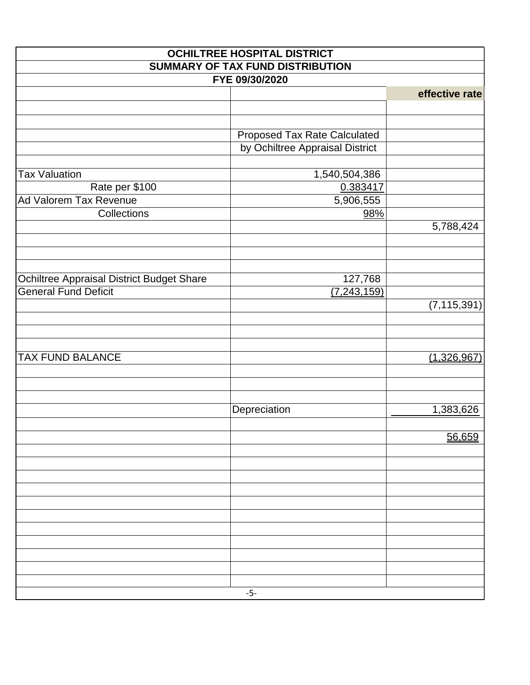| OCHILTREE HOSPITAL DISTRICT               |                                                    |                |  |  |  |
|-------------------------------------------|----------------------------------------------------|----------------|--|--|--|
|                                           | SUMMARY OF TAX FUND DISTRIBUTION<br>FYE 09/30/2020 |                |  |  |  |
|                                           |                                                    | effective rate |  |  |  |
|                                           |                                                    |                |  |  |  |
|                                           |                                                    |                |  |  |  |
|                                           | Proposed Tax Rate Calculated                       |                |  |  |  |
|                                           | by Ochiltree Appraisal District                    |                |  |  |  |
|                                           |                                                    |                |  |  |  |
| <b>Tax Valuation</b>                      | 1,540,504,386                                      |                |  |  |  |
| Rate per \$100                            | 0.383417                                           |                |  |  |  |
| Ad Valorem Tax Revenue                    | 5,906,555                                          |                |  |  |  |
| Collections                               | 98%                                                |                |  |  |  |
|                                           |                                                    | 5,788,424      |  |  |  |
|                                           |                                                    |                |  |  |  |
|                                           |                                                    |                |  |  |  |
|                                           |                                                    |                |  |  |  |
| Ochiltree Appraisal District Budget Share | 127,768                                            |                |  |  |  |
| <b>General Fund Deficit</b>               | (7, 243, 159)                                      |                |  |  |  |
|                                           |                                                    | (7, 115, 391)  |  |  |  |
|                                           |                                                    |                |  |  |  |
|                                           |                                                    |                |  |  |  |
|                                           |                                                    |                |  |  |  |
| TAX FUND BALANCE                          |                                                    | (1,326,967)    |  |  |  |
|                                           |                                                    |                |  |  |  |
|                                           |                                                    |                |  |  |  |
|                                           | Depreciation                                       | 1,383,626      |  |  |  |
|                                           |                                                    |                |  |  |  |
|                                           |                                                    | 56,659         |  |  |  |
|                                           |                                                    |                |  |  |  |
|                                           |                                                    |                |  |  |  |
|                                           |                                                    |                |  |  |  |
|                                           |                                                    |                |  |  |  |
|                                           |                                                    |                |  |  |  |
|                                           |                                                    |                |  |  |  |
|                                           |                                                    |                |  |  |  |
|                                           |                                                    |                |  |  |  |
|                                           |                                                    |                |  |  |  |
|                                           |                                                    |                |  |  |  |
|                                           |                                                    |                |  |  |  |
|                                           | $-5-$                                              |                |  |  |  |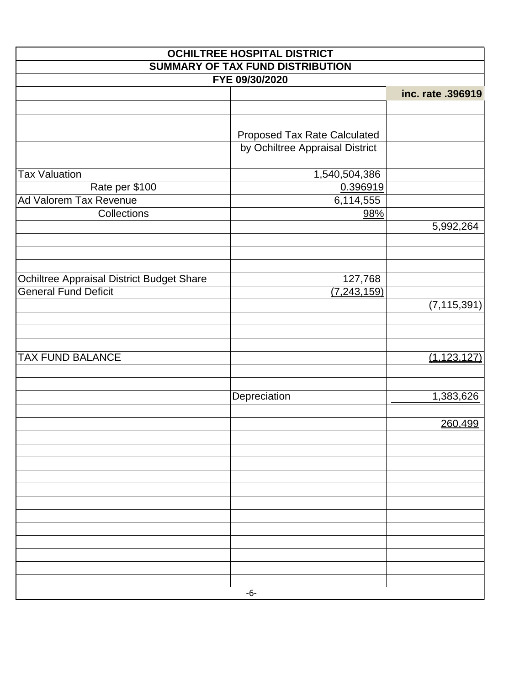| OCHILTREE HOSPITAL DISTRICT<br>SUMMARY OF TAX FUND DISTRIBUTION          |                                 |               |  |  |  |
|--------------------------------------------------------------------------|---------------------------------|---------------|--|--|--|
|                                                                          |                                 |               |  |  |  |
| FYE 09/30/2020<br>inc. rate .396919                                      |                                 |               |  |  |  |
|                                                                          |                                 |               |  |  |  |
|                                                                          |                                 |               |  |  |  |
|                                                                          | Proposed Tax Rate Calculated    |               |  |  |  |
|                                                                          | by Ochiltree Appraisal District |               |  |  |  |
| <b>Tax Valuation</b>                                                     | 1,540,504,386                   |               |  |  |  |
| Rate per \$100                                                           | 0.396919                        |               |  |  |  |
| Ad Valorem Tax Revenue                                                   | 6,114,555                       |               |  |  |  |
| Collections                                                              |                                 |               |  |  |  |
|                                                                          | 98%                             |               |  |  |  |
|                                                                          |                                 | 5,992,264     |  |  |  |
|                                                                          |                                 |               |  |  |  |
|                                                                          |                                 |               |  |  |  |
| Ochiltree Appraisal District Budget Share<br><b>General Fund Deficit</b> | 127,768<br>(7, 243, 159)        |               |  |  |  |
|                                                                          |                                 |               |  |  |  |
|                                                                          |                                 | (7, 115, 391) |  |  |  |
|                                                                          |                                 |               |  |  |  |
| TAX FUND BALANCE                                                         |                                 | (1, 123, 127) |  |  |  |
|                                                                          |                                 |               |  |  |  |
|                                                                          |                                 |               |  |  |  |
|                                                                          | Depreciation                    | 1,383,626     |  |  |  |
|                                                                          |                                 | 260,499       |  |  |  |
|                                                                          |                                 |               |  |  |  |
|                                                                          |                                 |               |  |  |  |
|                                                                          |                                 |               |  |  |  |
|                                                                          |                                 |               |  |  |  |
|                                                                          |                                 |               |  |  |  |
|                                                                          |                                 |               |  |  |  |
|                                                                          |                                 |               |  |  |  |
|                                                                          |                                 |               |  |  |  |
|                                                                          |                                 |               |  |  |  |
|                                                                          | $-6-$                           |               |  |  |  |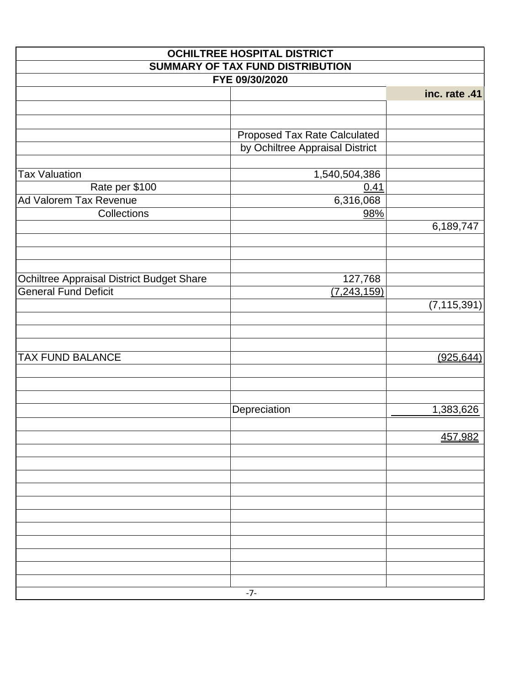| OCHILTREE HOSPITAL DISTRICT<br>SUMMARY OF TAX FUND DISTRIBUTION<br>FYE 09/30/2020 |                                 |               |  |  |  |
|-----------------------------------------------------------------------------------|---------------------------------|---------------|--|--|--|
|                                                                                   |                                 |               |  |  |  |
|                                                                                   |                                 |               |  |  |  |
|                                                                                   |                                 |               |  |  |  |
|                                                                                   | Proposed Tax Rate Calculated    |               |  |  |  |
|                                                                                   | by Ochiltree Appraisal District |               |  |  |  |
| <b>Tax Valuation</b>                                                              | 1,540,504,386                   |               |  |  |  |
| Rate per \$100                                                                    | 0.41                            |               |  |  |  |
| Ad Valorem Tax Revenue                                                            | 6,316,068                       |               |  |  |  |
| Collections                                                                       | 98%                             |               |  |  |  |
|                                                                                   |                                 | 6,189,747     |  |  |  |
|                                                                                   |                                 |               |  |  |  |
|                                                                                   |                                 |               |  |  |  |
| Ochiltree Appraisal District Budget Share                                         | 127,768                         |               |  |  |  |
| <b>General Fund Deficit</b>                                                       | (7, 243, 159)                   |               |  |  |  |
|                                                                                   |                                 | (7, 115, 391) |  |  |  |
|                                                                                   |                                 |               |  |  |  |
|                                                                                   |                                 |               |  |  |  |
|                                                                                   |                                 |               |  |  |  |
| TAX FUND BALANCE                                                                  |                                 | (925, 644)    |  |  |  |
|                                                                                   |                                 |               |  |  |  |
|                                                                                   |                                 |               |  |  |  |
|                                                                                   | Depreciation                    | 1,383,626     |  |  |  |
|                                                                                   |                                 | 457,982       |  |  |  |
|                                                                                   |                                 |               |  |  |  |
|                                                                                   |                                 |               |  |  |  |
|                                                                                   |                                 |               |  |  |  |
|                                                                                   |                                 |               |  |  |  |
|                                                                                   |                                 |               |  |  |  |
|                                                                                   |                                 |               |  |  |  |
|                                                                                   |                                 |               |  |  |  |
|                                                                                   |                                 |               |  |  |  |
|                                                                                   |                                 |               |  |  |  |
|                                                                                   | $-7-$                           |               |  |  |  |